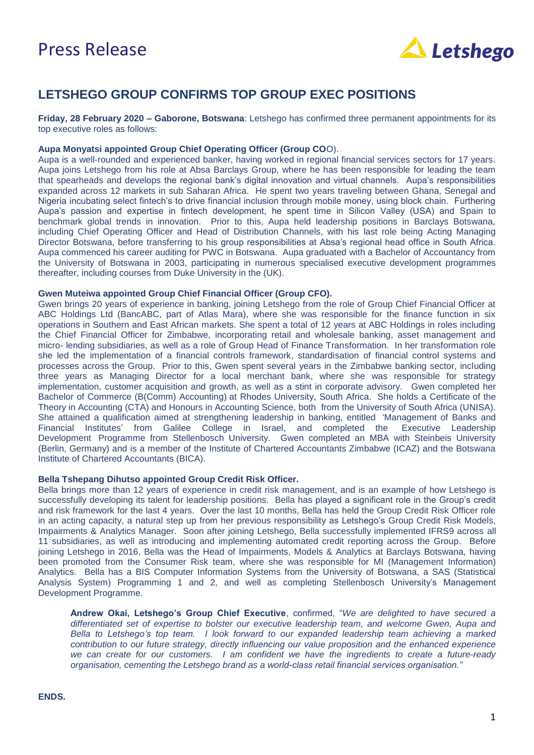# Press Release



### **LETSHEGO GROUP CONFIRMS TOP GROUP EXEC POSITIONS**

**Friday, 28 February 2020 – Gaborone, Botswana**: Letshego has confirmed three permanent appointments for its top executive roles as follows:

### **Aupa Monyatsi appointed Group Chief Operating Officer (Group CO**O).

Aupa is a well-rounded and experienced banker, having worked in regional financial services sectors for 17 years. Aupa joins Letshego from his role at Absa Barclays Group, where he has been responsible for leading the team that spearheads and develops the regional bank's digital innovation and virtual channels. Aupa's responsibilities expanded across 12 markets in sub Saharan Africa. He spent two years traveling between Ghana, Senegal and Nigeria incubating select fintech's to drive financial inclusion through mobile money, using block chain. Furthering Aupa's passion and expertise in fintech development, he spent time in Silicon Valley (USA) and Spain to benchmark global trends in innovation. Prior to this, Aupa held leadership positions in Barclays Botswana, including Chief Operating Officer and Head of Distribution Channels, with his last role being Acting Managing Director Botswana, before transferring to his group responsibilities at Absa's regional head office in South Africa. Aupa commenced his career auditing for PWC in Botswana. Aupa graduated with a Bachelor of Accountancy from the University of Botswana in 2003, participating in numerous specialised executive development programmes thereafter, including courses from Duke University in the (UK).

#### **Gwen Muteiwa appointed Group Chief Financial Officer (Group CFO).**

Gwen brings 20 years of experience in banking, joining Letshego from the role of Group Chief Financial Officer at ABC Holdings Ltd (BancABC, part of Atlas Mara), where she was responsible for the finance function in six operations in Southern and East African markets. She spent a total of 12 years at ABC Holdings in roles including the Chief Financial Officer for Zimbabwe, incorporating retail and wholesale banking, asset management and micro- lending subsidiaries, as well as a role of Group Head of Finance Transformation. In her transformation role she led the implementation of a financial controls framework, standardisation of financial control systems and processes across the Group. Prior to this, Gwen spent several years in the Zimbabwe banking sector, including three years as Managing Director for a local merchant bank, where she was responsible for strategy implementation, customer acquisition and growth, as well as a stint in corporate advisory. Gwen completed her Bachelor of Commerce (B(Comm) Accounting) at Rhodes University, South Africa. She holds a Certificate of the Theory in Accounting (CTA) and Honours in Accounting Science, both from the University of South Africa (UNISA). She attained a qualification aimed at strengthening leadership in banking, entitled 'Management of Banks and Financial Institutes' from Galilee College in Israel, and completed the Executive Leadership Development Programme from Stellenbosch University. Gwen completed an MBA with Steinbeis University (Berlin, Germany) and is a member of the Institute of Chartered Accountants Zimbabwe (ICAZ) and the Botswana Institute of Chartered Accountants (BICA).

#### **Bella Tshepang Dihutso appointed Group Credit Risk Officer.**

Bella brings more than 12 years of experience in credit risk management, and is an example of how Letshego is successfully developing its talent for leadership positions. Bella has played a significant role in the Group's credit and risk framework for the last 4 years. Over the last 10 months, Bella has held the Group Credit Risk Officer role in an acting capacity, a natural step up from her previous responsibility as Letshego's Group Credit Risk Models, Impairments & Analytics Manager. Soon after joining Letshego, Bella successfully implemented IFRS9 across all 11 subsidiaries, as well as introducing and implementing automated credit reporting across the Group. Before joining Letshego in 2016, Bella was the Head of Impairments, Models & Analytics at Barclays Botswana, having been promoted from the Consumer Risk team, where she was responsible for MI (Management Information) Analytics. Bella has a BIS Computer Information Systems from the University of Botswana, a SAS (Statistical Analysis System) Programming 1 and 2, and well as completing Stellenbosch University's Management Development Programme.

**Andrew Okai, Letshego's Group Chief Executive**, confirmed, "*We are delighted to have secured a differentiated set of expertise to bolster our executive leadership team, and welcome Gwen, Aupa and Bella to Letshego's top team. I look forward to our expanded leadership team achieving a marked contribution to our future strategy, directly influencing our value proposition and the enhanced experience we can create for our customers. I am confident we have the ingredients to create a future-ready organisation, cementing the Letshego brand as a world-class retail financial services organisation."*